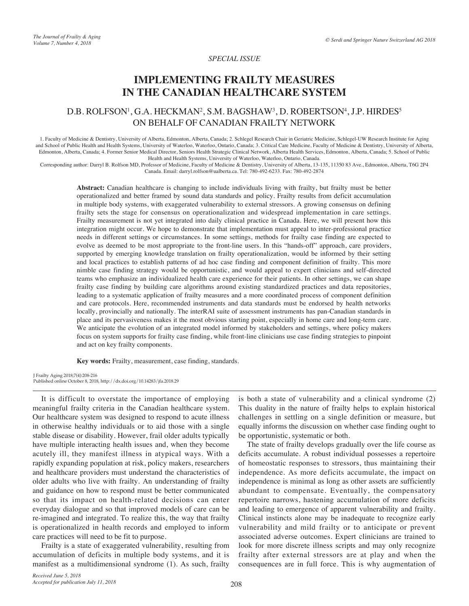## *SPECIAL ISSUE*

# **IMPLEMENTING FRAILTY MEASURES IN THE CANADIAN HEALTHCARE SYSTEM**

## D.B. ROLFSON<sup>1</sup>, G.A. HECKMAN<sup>2</sup>, S.M. BAGSHAW<sup>3</sup>, D. ROBERTSON<sup>4</sup>, J.P. HIRDES<sup>5</sup> ON BEHALF OF CANADIAN FRAILTY NETWORK

1. Faculty of Medicine & Dentistry, University of Alberta, Edmonton, Alberta, Canada; 2. Schlegel Research Chair in Geriatric Medicine, Schlegel-UW Research Institute for Aging and School of Public Health and Health Systems, University of Waterloo, Waterloo, Ontario, Canada; 3. Critical Care Medicine, Faculty of Medicine & Dentistry, University of Alberta, Edmonton, Alberta, Canada; 4. Former Senior Medical Director, Seniors Health Strategic Clinical Network, Alberta Health Services, Edmonton, Alberta, Canada; 5. School of Public Health and Health Systems, University of Waterloo, Waterloo, Ontario, Canada.

Corresponding author: Darryl B. Rolfson MD, Professor of Medicine, Faculty of Medicine & Dentistry, University of Alberta, 13-135, 11350 83 Ave., Edmonton, Alberta, T6G 2P4 Canada. Email: darryl.rolfson@ualberta.ca. Tel: 780-492-6233. Fax: 780-492-2874

**Abstract:** Canadian healthcare is changing to include individuals living with frailty, but frailty must be better operationalized and better framed by sound data standards and policy. Frailty results from deficit accumulation in multiple body systems, with exaggerated vulnerability to external stressors. A growing consensus on defining frailty sets the stage for consensus on operationalization and widespread implementation in care settings. Frailty measurement is not yet integrated into daily clinical practice in Canada. Here, we will present how this integration might occur. We hope to demonstrate that implementation must appeal to inter-professional practice needs in different settings or circumstances. In some settings, methods for frailty case finding are expected to evolve as deemed to be most appropriate to the front-line users. In this "hands-off" approach, care providers, supported by emerging knowledge translation on frailty operationalization, would be informed by their setting and local practices to establish patterns of ad hoc case finding and component definition of frailty. This more nimble case finding strategy would be opportunistic, and would appeal to expert clinicians and self-directed teams who emphasize an individualized health care experience for their patients. In other settings, we can shape frailty case finding by building care algorithms around existing standardized practices and data repositories, leading to a systematic application of frailty measures and a more coordinated process of component definition and care protocols. Here, recommended instruments and data standards must be endorsed by health networks locally, provincially and nationally. The interRAI suite of assessment instruments has pan-Canadian standards in place and its pervasiveness makes it the most obvious starting point, especially in home care and long-term care. We anticipate the evolution of an integrated model informed by stakeholders and settings, where policy makers focus on system supports for frailty case finding, while front-line clinicians use case finding strategies to pinpoint and act on key frailty components.

**Key words:** Frailty, measurement, case finding, standards.

J Frailty Aging 2018;7(4):208-216 Published online October 8, 2018, http://dx.doi.org/10.14283/jfa.2018.29

It is difficult to overstate the importance of employing meaningful frailty criteria in the Canadian healthcare system. Our healthcare system was designed to respond to acute illness in otherwise healthy individuals or to aid those with a single stable disease or disability. However, frail older adults typically have multiple interacting health issues and, when they become acutely ill, they manifest illness in atypical ways. With a rapidly expanding population at risk, policy makers, researchers and healthcare providers must understand the characteristics of older adults who live with frailty. An understanding of frailty and guidance on how to respond must be better communicated so that its impact on health-related decisions can enter everyday dialogue and so that improved models of care can be re-imagined and integrated. To realize this, the way that frailty is operationalized in health records and employed to inform care practices will need to be fit to purpose.

Frailty is a state of exaggerated vulnerability, resulting from accumulation of deficits in multiple body systems, and it is manifest as a multidimensional syndrome (1). As such, frailty

is both a state of vulnerability and a clinical syndrome (2) This duality in the nature of frailty helps to explain historical challenges in settling on a single definition or measure, but equally informs the discussion on whether case finding ought to be opportunistic, systematic or both. The state of frailty develops gradually over the life course as

deficits accumulate. A robust individual possesses a repertoire of homeostatic responses to stressors, thus maintaining their independence. As more deficits accumulate, the impact on independence is minimal as long as other assets are sufficiently abundant to compensate. Eventually, the compensatory repertoire narrows, hastening accumulation of more deficits and leading to emergence of apparent vulnerability and frailty. Clinical instincts alone may be inadequate to recognize early vulnerability and mild frailty or to anticipate or prevent associated adverse outcomes. Expert clinicians are trained to look for more discrete illness scripts and may only recognize frailty after external stressors are at play and when the consequences are in full force. This is why augmentation of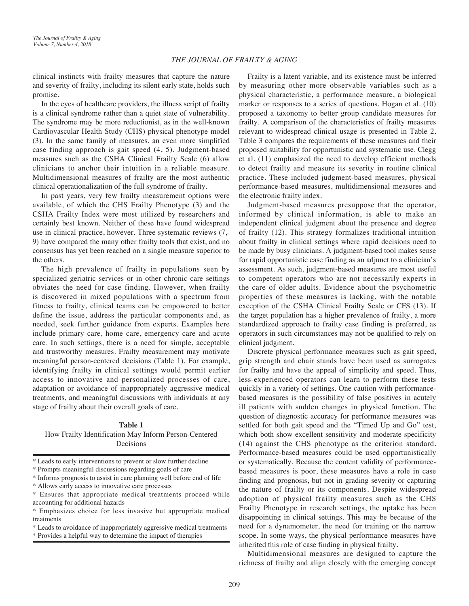clinical instincts with frailty measures that capture the nature and severity of frailty, including its silent early state, holds such promise.

In the eyes of healthcare providers, the illness script of frailty is a clinical syndrome rather than a quiet state of vulnerability. The syndrome may be more reductionist, as in the well-known Cardiovascular Health Study (CHS) physical phenotype model (3). In the same family of measures, an even more simplified case finding approach is gait speed (4, 5). Judgment-based measures such as the CSHA Clinical Frailty Scale (6) allow clinicians to anchor their intuition in a reliable measure. Multidimensional measures of frailty are the most authentic clinical operationalization of the full syndrome of frailty.

In past years, very few frailty measurement options were available, of which the CHS Frailty Phenotype (3) and the CSHA Frailty Index were most utilized by researchers and certainly best known. Neither of these have found widespread use in clinical practice, however. Three systematic reviews (7,- 9) have compared the many other frailty tools that exist, and no consensus has yet been reached on a single measure superior to the others.

The high prevalence of frailty in populations seen by specialized geriatric services or in other chronic care settings obviates the need for case finding. However, when frailty is discovered in mixed populations with a spectrum from fitness to frailty, clinical teams can be empowered to better define the issue, address the particular components and, as needed, seek further guidance from experts. Examples here include primary care, home care, emergency care and acute care. In such settings, there is a need for simple, acceptable and trustworthy measures. Frailty measurement may motivate meaningful person-centered decisions (Table 1). For example, identifying frailty in clinical settings would permit earlier access to innovative and personalized processes of care, adaptation or avoidance of inappropriately aggressive medical treatments, and meaningful discussions with individuals at any stage of frailty about their overall goals of care.

#### **Table 1**

How Frailty Identification May Inform Person-Centered Decisions

\* Prompts meaningful discussions regarding goals of care

\* Informs prognosis to assist in care planning well before end of life

\* Provides a helpful way to determine the impact of therapies

Frailty is a latent variable, and its existence must be inferred by measuring other more observable variables such as a physical characteristic, a performance measure, a biological marker or responses to a series of questions. Hogan et al. (10) proposed a taxonomy to better group candidate measures for frailty. A comparison of the characteristics of frailty measures relevant to widespread clinical usage is presented in Table 2. Table 3 compares the requirements of these measures and their proposed suitability for opportunistic and systematic use. Clegg et al. (11) emphasized the need to develop efficient methods to detect frailty and measure its severity in routine clinical practice. These included judgment-based measures, physical performance-based measures, multidimensional measures and the electronic frailty index.

Judgment-based measures presuppose that the operator, informed by clinical information, is able to make an independent clinical judgment about the presence and degree of frailty (12). This strategy formalizes traditional intuition about frailty in clinical settings where rapid decisions need to be made by busy clinicians. A judgment-based tool makes sense for rapid opportunistic case finding as an adjunct to a clinician's assessment. As such, judgment-based measures are most useful to competent operators who are not necessarily experts in the care of older adults. Evidence about the psychometric properties of these measures is lacking, with the notable exception of the CSHA Clinical Frailty Scale or CFS (13). If the target population has a higher prevalence of frailty, a more standardized approach to frailty case finding is preferred, as operators in such circumstances may not be qualified to rely on clinical judgment.

Discrete physical performance measures such as gait speed, grip strength and chair stands have been used as surrogates for frailty and have the appeal of simplicity and speed. Thus, less-experienced operators can learn to perform these tests quickly in a variety of settings. One caution with performancebased measures is the possibility of false positives in acutely ill patients with sudden changes in physical function. The question of diagnostic accuracy for performance measures was settled for both gait speed and the "Timed Up and Go" test, which both show excellent sensitivity and moderate specificity (14) against the CHS phenotype as the criterion standard. Performance-based measures could be used opportunistically or systematically. Because the content validity of performancebased measures is poor, these measures have a role in case finding and prognosis, but not in grading severity or capturing the nature of frailty or its components. Despite widespread adoption of physical frailty measures such as the CHS Frailty Phenotype in research settings, the uptake has been disappointing in clinical settings. This may be because of the need for a dynamometer, the need for training or the narrow scope. In some ways, the physical performance measures have inherited this role of case finding in physical frailty.

Multidimensional measures are designed to capture the richness of frailty and align closely with the emerging concept

<sup>\*</sup> Leads to early interventions to prevent or slow further decline

<sup>\*</sup> Allows early access to innovative care processes

<sup>\*</sup> Ensures that appropriate medical treatments proceed while accounting for additional hazards

<sup>\*</sup> Emphasizes choice for less invasive but appropriate medical treatments

<sup>\*</sup> Leads to avoidance of inappropriately aggressive medical treatments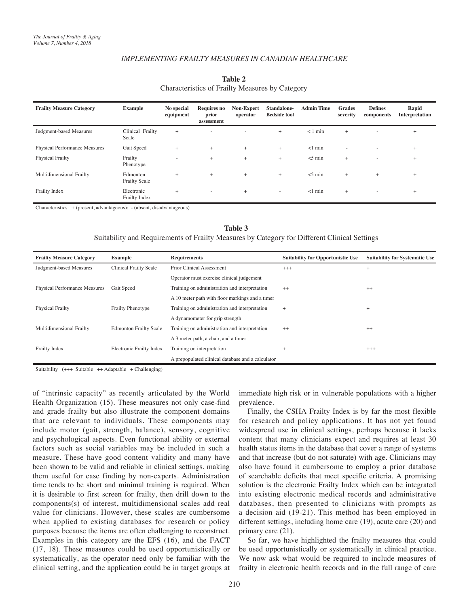| <b>Frailty Measure Category</b>      | <b>Example</b>                   | No special<br>equipment | <b>Requires no</b><br>prior<br>assessment | Non-Expert<br>operator | Standalone-<br><b>Bedside tool</b> | <b>Admin Time</b> | <b>Grades</b><br>severity | <b>Defines</b><br>components | Rapid<br>Interpretation |
|--------------------------------------|----------------------------------|-------------------------|-------------------------------------------|------------------------|------------------------------------|-------------------|---------------------------|------------------------------|-------------------------|
| Judgment-based Measures              | Clinical Frailty<br>Scale        | $+$                     | ×.                                        | <b>COL</b>             | $+$                                | $< 1$ min         | $+$                       | $\sim$                       | $+$                     |
| <b>Physical Performance Measures</b> | Gait Speed                       | $+$                     | $+$                                       | $+$                    | $+$                                | $<1$ min          | $\sim$                    | $\sim$                       | $+$                     |
| <b>Physical Frailty</b>              | Frailty<br>Phenotype             | $\sim$                  | $+$                                       | $+$                    | $+$                                | $<$ 5 min         | $^{+}$                    | $\sim$                       | $+$                     |
| Multidimensional Frailty             | Edmonton<br><b>Frailty Scale</b> | $+$                     | $+$                                       | $+$                    | $+$                                | $<$ 5 min         | $^{+}$                    | $+$                          | $+$                     |
| Frailty Index                        | Electronic<br>Frailty Index      | $+$                     | ۰                                         | $+$                    | $\sim$                             | $<1$ min          | $^{+}$                    | $\sim$                       | $+$                     |

## **Table 2** Characteristics of Frailty Measures by Category

Characteristics: + (present, advantageous); - (absent, disadvantageous)

#### **Table 3**

Suitability and Requirements of Frailty Measures by Category for Different Clinical Settings

| <b>Frailty Measure Category</b>      | <b>Example</b>                | <b>Requirements</b>                               | <b>Suitability for Opportunistic Use</b> | <b>Suitability for Systematic Use</b> |
|--------------------------------------|-------------------------------|---------------------------------------------------|------------------------------------------|---------------------------------------|
| Judgment-based Measures              | <b>Clinical Frailty Scale</b> | Prior Clinical Assessment                         | $+++$                                    | $+$                                   |
|                                      |                               | Operator must exercise clinical judgement         |                                          |                                       |
| <b>Physical Performance Measures</b> | Gait Speed                    | Training on administration and interpretation     | $^{++}$                                  | $^{++}$                               |
|                                      |                               | A 10 meter path with floor markings and a timer   |                                          |                                       |
| <b>Physical Frailty</b>              | <b>Frailty Phenotype</b>      | Training on administration and interpretation     | $+$                                      | $^{+}$                                |
|                                      |                               | A dynamometer for grip strength                   |                                          |                                       |
| Multidimensional Frailty             | <b>Edmonton Frailty Scale</b> | Training on administration and interpretation     | $++$                                     | $++$                                  |
|                                      |                               | A 3 meter path, a chair, and a timer              |                                          |                                       |
| Frailty Index                        | Electronic Frailty Index      | Training on interpretation                        | $\ddot{}$                                | $^{+++}$                              |
|                                      |                               | A prepopulated clinical database and a calculator |                                          |                                       |

Suitability  $(++)$  Suitable  $++$  Adaptable  $+$  Challenging)

of "intrinsic capacity" as recently articulated by the World Health Organization (15). These measures not only case-find and grade frailty but also illustrate the component domains that are relevant to individuals. These components may include motor (gait, strength, balance), sensory, cognitive and psychological aspects. Even functional ability or external factors such as social variables may be included in such a measure. These have good content validity and many have been shown to be valid and reliable in clinical settings, making them useful for case finding by non-experts. Administration time tends to be short and minimal training is required. When it is desirable to first screen for frailty, then drill down to the components(s) of interest, multidimensional scales add real value for clinicians. However, these scales are cumbersome when applied to existing databases for research or policy purposes because the items are often challenging to reconstruct. Examples in this category are the EFS (16), and the FACT (17, 18). These measures could be used opportunistically or systematically, as the operator need only be familiar with the clinical setting, and the application could be in target groups at

immediate high risk or in vulnerable populations with a higher prevalence.

Finally, the CSHA Frailty Index is by far the most flexible for research and policy applications. It has not yet found widespread use in clinical settings, perhaps because it lacks content that many clinicians expect and requires at least 30 health status items in the database that cover a range of systems and that increase (but do not saturate) with age. Clinicians may also have found it cumbersome to employ a prior database of searchable deficits that meet specific criteria. A promising solution is the electronic Frailty Index which can be integrated into existing electronic medical records and administrative databases, then presented to clinicians with prompts as a decision aid (19-21). This method has been employed in different settings, including home care (19), acute care (20) and primary care (21).

So far, we have highlighted the frailty measures that could be used opportunistically or systematically in clinical practice. We now ask what would be required to include measures of frailty in electronic health records and in the full range of care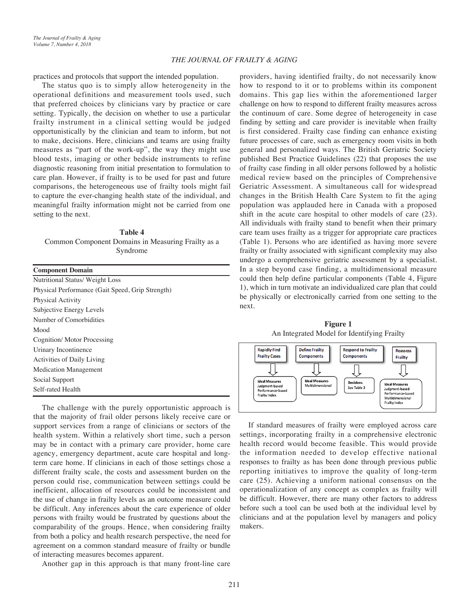practices and protocols that support the intended population.

The status quo is to simply allow heterogeneity in the operational definitions and measurement tools used, such that preferred choices by clinicians vary by practice or care setting. Typically, the decision on whether to use a particular frailty instrument in a clinical setting would be judged opportunistically by the clinician and team to inform, but not to make, decisions. Here, clinicians and teams are using frailty measures as "part of the work-up", the way they might use blood tests, imaging or other bedside instruments to refine diagnostic reasoning from initial presentation to formulation to care plan. However, if frailty is to be used for past and future comparisons, the heterogeneous use of frailty tools might fail to capture the ever-changing health state of the individual, and meaningful frailty information might not be carried from one setting to the next.

**Table 4** Common Component Domains in Measuring Frailty as a Syndrome

| <b>Component Domain</b>                          |  |  |  |  |  |
|--------------------------------------------------|--|--|--|--|--|
| Nutritional Status/ Weight Loss                  |  |  |  |  |  |
| Physical Performance (Gait Speed, Grip Strength) |  |  |  |  |  |
| Physical Activity                                |  |  |  |  |  |
| Subjective Energy Levels                         |  |  |  |  |  |
| Number of Comorbidities                          |  |  |  |  |  |
| Mood                                             |  |  |  |  |  |
| Cognition/Motor Processing                       |  |  |  |  |  |
| Urinary Incontinence                             |  |  |  |  |  |
| <b>Activities of Daily Living</b>                |  |  |  |  |  |
| <b>Medication Management</b>                     |  |  |  |  |  |
| Social Support                                   |  |  |  |  |  |
| Self-rated Health                                |  |  |  |  |  |

The challenge with the purely opportunistic approach is that the majority of frail older persons likely receive care or support services from a range of clinicians or sectors of the health system. Within a relatively short time, such a person may be in contact with a primary care provider, home care agency, emergency department, acute care hospital and longterm care home. If clinicians in each of those settings chose a different frailty scale, the costs and assessment burden on the person could rise, communication between settings could be inefficient, allocation of resources could be inconsistent and the use of change in frailty levels as an outcome measure could be difficult. Any inferences about the care experience of older persons with frailty would be frustrated by questions about the comparability of the groups. Hence, when considering frailty from both a policy and health research perspective, the need for agreement on a common standard measure of frailty or bundle of interacting measures becomes apparent.

Another gap in this approach is that many front-line care

providers, having identified frailty, do not necessarily know how to respond to it or to problems within its component domains. This gap lies within the aforementioned larger challenge on how to respond to different frailty measures across the continuum of care. Some degree of heterogeneity in case finding by setting and care provider is inevitable when frailty is first considered. Frailty case finding can enhance existing future processes of care, such as emergency room visits in both general and personalized ways. The British Geriatric Society published Best Practice Guidelines (22) that proposes the use of frailty case finding in all older persons followed by a holistic medical review based on the principles of Comprehensive Geriatric Assessment. A simultaneous call for widespread changes in the British Health Care System to fit the aging population was applauded here in Canada with a proposed shift in the acute care hospital to other models of care (23). All individuals with frailty stand to benefit when their primary care team uses frailty as a trigger for appropriate care practices (Table 1). Persons who are identified as having more severe frailty or frailty associated with significant complexity may also undergo a comprehensive geriatric assessment by a specialist. In a step beyond case finding, a multidimensional measure could then help define particular components (Table 4, Figure 1), which in turn motivate an individualized care plan that could be physically or electronically carried from one setting to the next.

**Figure 1** An Integrated Model for Identifying Frailty



If standard measures of frailty were employed across care settings, incorporating frailty in a comprehensive electronic health record would become feasible. This would provide the information needed to develop effective national responses to frailty as has been done through previous public reporting initiatives to improve the quality of long-term care (25). Achieving a uniform national consensus on the operationalization of any concept as complex as frailty will be difficult. However, there are many other factors to address before such a tool can be used both at the individual level by clinicians and at the population level by managers and policy makers.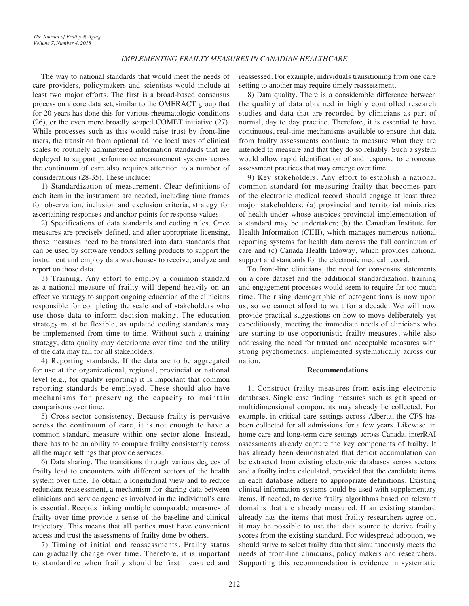The way to national standards that would meet the needs of care providers, policymakers and scientists would include at least two major efforts. The first is a broad-based consensus process on a core data set, similar to the OMERACT group that for 20 years has done this for various rheumatologic conditions (26), or the even more broadly scoped COMET initiative (27). While processes such as this would raise trust by front-line users, the transition from optional ad hoc local uses of clinical scales to routinely administered information standards that are deployed to support performance measurement systems across the continuum of care also requires attention to a number of considerations (28-35). These include:

1) Standardization of measurement. Clear definitions of each item in the instrument are needed, including time frames for observation, inclusion and exclusion criteria, strategy for ascertaining responses and anchor points for response values.

2) Specifications of data standards and coding rules. Once measures are precisely defined, and after appropriate licensing, those measures need to be translated into data standards that can be used by software vendors selling products to support the instrument and employ data warehouses to receive, analyze and report on those data.

3) Training. Any effort to employ a common standard as a national measure of frailty will depend heavily on an effective strategy to support ongoing education of the clinicians responsible for completing the scale and of stakeholders who use those data to inform decision making. The education strategy must be flexible, as updated coding standards may be implemented from time to time. Without such a training strategy, data quality may deteriorate over time and the utility of the data may fall for all stakeholders.

4) Reporting standards. If the data are to be aggregated for use at the organizational, regional, provincial or national level (e.g., for quality reporting) it is important that common reporting standards be employed. These should also have mechanisms for preserving the capacity to maintain comparisons over time.

5) Cross-sector consistency. Because frailty is pervasive across the continuum of care, it is not enough to have a common standard measure within one sector alone. Instead, there has to be an ability to compare frailty consistently across all the major settings that provide services.

6) Data sharing. The transitions through various degrees of frailty lead to encounters with different sectors of the health system over time. To obtain a longitudinal view and to reduce redundant reassessment, a mechanism for sharing data between clinicians and service agencies involved in the individual's care is essential. Records linking multiple comparable measures of frailty over time provide a sense of the baseline and clinical trajectory. This means that all parties must have convenient access and trust the assessments of frailty done by others.

7) Timing of initial and reassessments. Frailty status can gradually change over time. Therefore, it is important to standardize when frailty should be first measured and reassessed. For example, individuals transitioning from one care setting to another may require timely reassessment.

8) Data quality. There is a considerable difference between the quality of data obtained in highly controlled research studies and data that are recorded by clinicians as part of normal, day to day practice. Therefore, it is essential to have continuous, real-time mechanisms available to ensure that data from frailty assessments continue to measure what they are intended to measure and that they do so reliably. Such a system would allow rapid identification of and response to erroneous assessment practices that may emerge over time.

9) Key stakeholders. Any effort to establish a national common standard for measuring frailty that becomes part of the electronic medical record should engage at least three major stakeholders: (a) provincial and territorial ministries of health under whose auspices provincial implementation of a standard may be undertaken; (b) the Canadian Institute for Health Information (CIHI), which manages numerous national reporting systems for health data across the full continuum of care and (c) Canada Health Infoway, which provides national support and standards for the electronic medical record.

To front-line clinicians, the need for consensus statements on a core dataset and the additional standardization, training and engagement processes would seem to require far too much time. The rising demographic of octogenarians is now upon us, so we cannot afford to wait for a decade. We will now provide practical suggestions on how to move deliberately yet expeditiously, meeting the immediate needs of clinicians who are starting to use opportunistic frailty measures, while also addressing the need for trusted and acceptable measures with strong psychometrics, implemented systematically across our nation.

## **Recommendations**

1. Construct frailty measures from existing electronic databases. Single case finding measures such as gait speed or multidimensional components may already be collected. For example, in critical care settings across Alberta, the CFS has been collected for all admissions for a few years. Likewise, in home care and long-term care settings across Canada, interRAI assessments already capture the key components of frailty. It has already been demonstrated that deficit accumulation can be extracted from existing electronic databases across sectors and a frailty index calculated, provided that the candidate items in each database adhere to appropriate definitions. Existing clinical information systems could be used with supplementary items, if needed, to derive frailty algorithms based on relevant domains that are already measured. If an existing standard already has the items that most frailty researchers agree on, it may be possible to use that data source to derive frailty scores from the existing standard. For widespread adoption, we should strive to select frailty data that simultaneously meets the needs of front-line clinicians, policy makers and researchers. Supporting this recommendation is evidence in systematic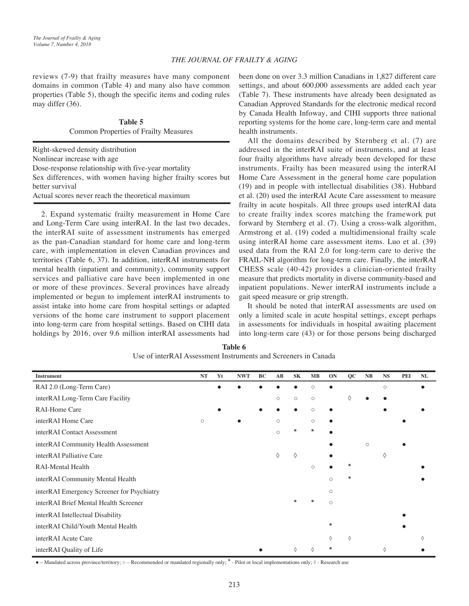reviews (7-9) that frailty measures have many component domains in common (Table 4) and many also have common properties (Table 5), though the specific items and coding rules may differ (36).

> **Table 5** Common Properties of Frailty Measures

Right-skewed density distribution Nonlinear increase with age Dose-response relationship with five-year mortality Sex differences, with women having higher frailty scores but better survival

Actual scores never reach the theoretical maximum

2. Expand systematic frailty measurement in Home Care and Long-Term Care using interRAI. In the last two decades, the interRAI suite of assessment instruments has emerged as the pan-Canadian standard for home care and long-term care, with implementation in eleven Canadian provinces and territories (Table 6, 37). In addition, interRAI instruments for mental health (inpatient and community), community support services and palliative care have been implemented in one or more of these provinces. Several provinces have already implemented or begun to implement interRAI instruments to assist intake into home care from hospital settings or adapted versions of the home care instrument to support placement into long-term care from hospital settings. Based on CIHI data holdings by 2016, over 9.6 million interRAI assessments had

been done on over 3.3 million Canadians in 1,827 different care settings, and about 600,000 assessments are added each year (Table 7). These instruments have already been designated as Canadian Approved Standards for the electronic medical record by Canada Health Infoway, and CIHI supports three national reporting systems for the home care, long-term care and mental health instruments.

All the domains described by Sternberg et al. (7) are addressed in the interRAI suite of instruments, and at least four frailty algorithms have already been developed for these instruments. Frailty has been measured using the interRAI Home Care Assessment in the general home care population (19) and in people with intellectual disabilities (38). Hubbard et al. (20) used the interRAI Acute Care assessment to measure frailty in acute hospitals. All three groups used interRAI data to create frailty index scores matching the framework put forward by Sternberg et al. (7). Using a cross-walk algorithm, Armstrong et al. (19) coded a multidimensional frailty scale using interRAI home care assessment items. Luo et al. (39) used data from the RAI 2.0 for long-term care to derive the FRAIL-NH algorithm for long-term care. Finally, the interRAI CHESS scale (40-42) provides a clinician-oriented frailty measure that predicts mortality in diverse community-based and inpatient populations. Newer interRAI instruments include a gait speed measure or grip strength.

It should be noted that interRAI assessments are used on only a limited scale in acute hospital settings, except perhaps in assessments for individuals in hospital awaiting placement into long-term care (43) or for those persons being discharged

| <b>Instrument</b>                          | NT      | Yt | <b>NWT</b> | BC | AB      | SK      | MB      | ON        | $_{\rm QC}$ | NB      | <b>NS</b> | <b>PEI</b> | NL |
|--------------------------------------------|---------|----|------------|----|---------|---------|---------|-----------|-------------|---------|-----------|------------|----|
| RAI 2.0 (Long-Term Care)                   |         |    |            |    |         |         | O       |           |             |         | $\circ$   |            |    |
| interRAI Long-Term Care Facility           |         |    |            |    | $\circ$ | $\circ$ | $\circ$ |           | ♦           |         |           |            |    |
| <b>RAI-Home Care</b>                       |         |    |            |    |         |         | $\circ$ |           |             |         |           |            |    |
| interRAI Home Care                         | $\circ$ |    |            |    | $\circ$ |         | $\circ$ |           |             |         |           |            |    |
| interRAI Contact Assessment                |         |    |            |    | $\circ$ | $\star$ | $\star$ |           |             |         |           |            |    |
| interRAI Community Health Assessment       |         |    |            |    |         |         |         |           |             | $\circ$ |           |            |    |
| interRAI Palliative Care                   |         |    |            |    | ♦       | ♦       |         | $\bullet$ |             |         | ♦         |            |    |
| RAI-Mental Health                          |         |    |            |    |         |         | $\circ$ |           | $^\star$    |         |           |            |    |
| interRAI Community Mental Health           |         |    |            |    |         |         |         | $\circ$   | $^\star$    |         |           |            |    |
| interRAI Emergency Screener for Psychiatry |         |    |            |    |         |         |         | $\circ$   |             |         |           |            |    |
| interRAI Brief Mental Health Screener      |         |    |            |    |         | $\star$ | *       | $\circ$   |             |         |           |            |    |
| interRAI Intellectual Disability           |         |    |            |    |         |         |         |           |             |         |           |            |    |
| interRAI Child/Youth Mental Health         |         |    |            |    |         |         |         | $^\star$  |             |         |           |            |    |
| interRAI Acute Care                        |         |    |            |    |         |         |         | ♦         | ♦           |         |           |            | ♦  |
| interRAI Quality of Life                   |         |    |            |    |         | ♦       |         | *         |             |         | ♦         |            |    |

**Table 6** Use of interRAI Assessment Instruments and Screeners in Canada

• – Mandated across province/territory;  $\circ$  – Recommended or mandated regionally only; \* - Pilot or local implementations only;  $\circ$  - Research use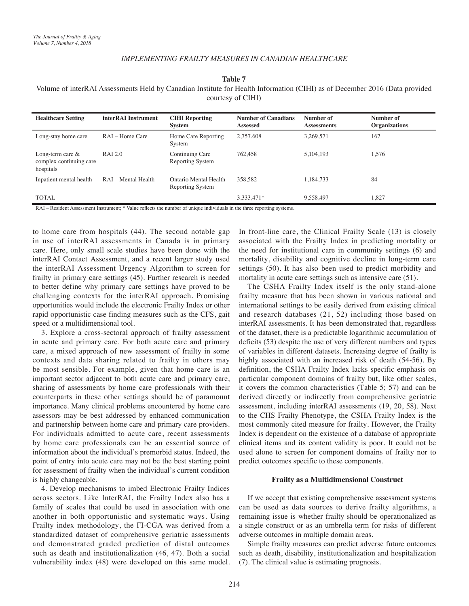**Table 7**

Volume of interRAI Assessments Held by Canadian Institute for Health Information (CIHI) as of December 2016 (Data provided courtesy of CIHI)

| <b>Healthcare Setting</b>                                   | interRAI Instrument | <b>CIHI</b> Reporting<br>System           | <b>Number of Canadians</b><br><b>Assessed</b> | Number of<br><b>Assessments</b> | Number of<br><b>Organizations</b> |
|-------------------------------------------------------------|---------------------|-------------------------------------------|-----------------------------------------------|---------------------------------|-----------------------------------|
| Long-stay home care                                         | RAI – Home Care     | Home Care Reporting<br>System             | 2,757,608                                     | 3,269,571                       | 167                               |
| Long-term care $\&$<br>complex continuing care<br>hospitals | <b>RAI 2.0</b>      | Continuing Care<br>Reporting System       | 762,458                                       | 5, 104, 193                     | 1,576                             |
| Inpatient mental health                                     | RAI – Mental Health | Ontario Mental Health<br>Reporting System | 358.582                                       | 1,184,733                       | 84                                |
| <b>TOTAL</b>                                                |                     |                                           | 3,333,471*                                    | 9,558,497                       | 1,827                             |

RAI – Resident Assessment Instrument; \* Value reflects the number of unique individuals in the three reporting systems.

to home care from hospitals (44). The second notable gap in use of interRAI assessments in Canada is in primary care. Here, only small scale studies have been done with the interRAI Contact Assessment, and a recent larger study used the interRAI Assessment Urgency Algorithm to screen for frailty in primary care settings (45). Further research is needed to better define why primary care settings have proved to be challenging contexts for the interRAI approach. Promising opportunities would include the electronic Frailty Index or other rapid opportunistic case finding measures such as the CFS, gait speed or a multidimensional tool.

3. Explore a cross-sectoral approach of frailty assessment in acute and primary care. For both acute care and primary care, a mixed approach of new assessment of frailty in some contexts and data sharing related to frailty in others may be most sensible. For example, given that home care is an important sector adjacent to both acute care and primary care, sharing of assessments by home care professionals with their counterparts in these other settings should be of paramount importance. Many clinical problems encountered by home care assessors may be best addressed by enhanced communication and partnership between home care and primary care providers. For individuals admitted to acute care, recent assessments by home care professionals can be an essential source of information about the individual's premorbid status. Indeed, the point of entry into acute care may not be the best starting point for assessment of frailty when the individual's current condition is highly changeable.

4. Develop mechanisms to imbed Electronic Frailty Indices across sectors. Like InterRAI, the Frailty Index also has a family of scales that could be used in association with one another in both opportunistic and systematic ways. Using Frailty index methodology, the FI-CGA was derived from a standardized dataset of comprehensive geriatric assessments and demonstrated graded prediction of distal outcomes such as death and institutionalization (46, 47). Both a social vulnerability index (48) were developed on this same model. In front-line care, the Clinical Frailty Scale (13) is closely associated with the Frailty Index in predicting mortality or the need for institutional care in community settings (6) and mortality, disability and cognitive decline in long-term care settings (50). It has also been used to predict morbidity and mortality in acute care settings such as intensive care (51).

The CSHA Frailty Index itself is the only stand-alone frailty measure that has been shown in various national and international settings to be easily derived from existing clinical and research databases (21, 52) including those based on interRAI assessments. It has been demonstrated that, regardless of the dataset, there is a predictable logarithmic accumulation of deficits (53) despite the use of very different numbers and types of variables in different datasets. Increasing degree of frailty is highly associated with an increased risk of death (54-56). By definition, the CSHA Frailty Index lacks specific emphasis on particular component domains of frailty but, like other scales, it covers the common characteristics (Table 5; 57) and can be derived directly or indirectly from comprehensive geriatric assessment, including interRAI assessments (19, 20, 58). Next to the CHS Frailty Phenotype, the CSHA Frailty Index is the most commonly cited measure for frailty. However, the Frailty Index is dependent on the existence of a database of appropriate clinical items and its content validity is poor. It could not be used alone to screen for component domains of frailty nor to predict outcomes specific to these components.

## **Frailty as a Multidimensional Construct**

If we accept that existing comprehensive assessment systems can be used as data sources to derive frailty algorithms, a remaining issue is whether frailty should be operationalized as a single construct or as an umbrella term for risks of different adverse outcomes in multiple domain areas.

Simple frailty measures can predict adverse future outcomes such as death, disability, institutionalization and hospitalization (7). The clinical value is estimating prognosis.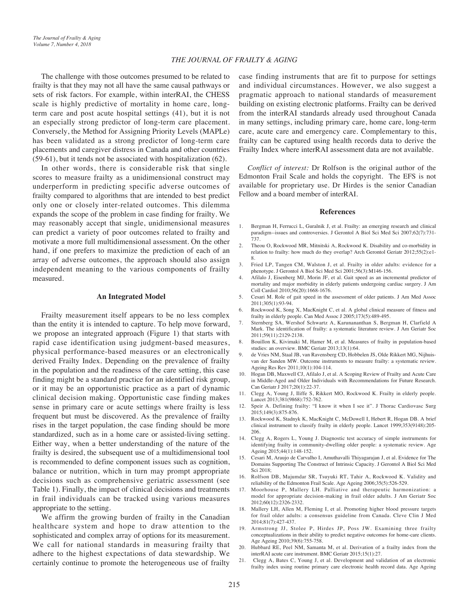The challenge with those outcomes presumed to be related to frailty is that they may not all have the same causal pathways or sets of risk factors. For example, within interRAI, the CHESS scale is highly predictive of mortality in home care, longterm care and post acute hospital settings (41), but it is not an especially strong predictor of long-term care placement. Conversely, the Method for Assigning Priority Levels (MAPLe) has been validated as a strong predictor of long-term care placements and caregiver distress in Canada and other countries (59-61), but it tends not be associated with hospitalization (62).

In other words, there is considerable risk that single scores to measure frailty as a unidimensional construct may underperform in predicting specific adverse outcomes of frailty compared to algorithms that are intended to best predict only one or closely inter-related outcomes. This dilemma expands the scope of the problem in case finding for frailty. We may reasonably accept that single, unidimensional measures can predict a variety of poor outcomes related to frailty and motivate a more full multidimensional assessment. On the other hand, if one prefers to maximize the prediction of each of an array of adverse outcomes, the approach should also assign independent meaning to the various components of frailty measured.

#### **An Integrated Model**

Frailty measurement itself appears to be no less complex than the entity it is intended to capture. To help move forward, we propose an integrated approach (Figure 1) that starts with rapid case identification using judgment-based measures, physical performance-based measures or an electronically derived Frailty Index. Depending on the prevalence of frailty in the population and the readiness of the care setting, this case finding might be a standard practice for an identified risk group, or it may be an opportunistic practice as a part of dynamic clinical decision making. Opportunistic case finding makes sense in primary care or acute settings where frailty is less frequent but must be discovered. As the prevalence of frailty rises in the target population, the case finding should be more standardized, such as in a home care or assisted-living setting. Either way, when a better understanding of the nature of the frailty is desired, the subsequent use of a multidimensional tool is recommended to define component issues such as cognition, balance or nutrition, which in turn may prompt appropriate decisions such as comprehensive geriatric assessment (see Table 1). Finally, the impact of clinical decisions and treatments in frail individuals can be tracked using various measures appropriate to the setting.

We affirm the growing burden of frailty in the Canadian healthcare system and hope to draw attention to the sophisticated and complex array of options for its measurement. We call for national standards in measuring frailty that adhere to the highest expectations of data stewardship. We certainly continue to promote the heterogeneous use of frailty

case finding instruments that are fit to purpose for settings and individual circumstances. However, we also suggest a pragmatic approach to national standards of measurement building on existing electronic platforms. Frailty can be derived from the interRAI standards already used throughout Canada in many settings, including primary care, home care, long-term care, acute care and emergency care. Complementary to this, frailty can be captured using health records data to derive the Frailty Index where interRAI assessment data are not available.

*Conflict of interest:* Dr Rolfson is the original author of the Edmonton Frail Scale and holds the copyright. The EFS is not available for proprietary use. Dr Hirdes is the senior Canadian Fellow and a board member of interRAI.

#### **References**

- Bergman H, Ferrucci L, Guralnik J, et al. Frailty: an emerging research and clinical paradigm--issues and controversies. J Gerontol A Biol Sci Med Sci 2007;62(7):731- 737.
- 2. Theou O, Rockwood MR, Mitnitski A, Rockwood K. Disability and co-morbidity in relation to frailty: how much do they overlap? Arch Gerontol Geriatr 2012;55(2):e1- 8.
- 3. Fried LP, Tangen CM, Walston J, et al. Frailty in older adults: evidence for a phenotype. J Gerontol A Biol Sci Med Sci 2001;56(3):M146-156.
- 4. Afilalo J, Eisenberg MJ, Morin JF, et al. Gait speed as an incremental predictor of mortality and major morbidity in elderly patients undergoing cardiac surgery. J Am Coll Cardiol 2010;56(20):1668-1676.
- 5. Cesari M. Role of gait speed in the assessment of older patients. J Am Med Assoc 2011;305(1):93-94.
- 6. Rockwood K, Song X, MacKnight C, et al. A global clinical measure of fitness and frailty in elderly people. Can Med Assoc J 2005;173(5):489-495.
- 7. Sternberg SA, Wershof Schwartz A, Karunananthan S, Bergman H, Clarfield A Mark. The identification of frailty: a systematic literature review. J Am Geriatr Soc 2011;59(11):2129-2138.
- 8. Bouillon K, Kivimaki M, Hamer M, et al. Measures of frailty in population-based studies: an overview. BMC Geriatr 2013;13(1):64.
- 9. de Vries NM, Staal JB, van Ravensberg CD, Hobbelen JS, Olde Rikkert MG, Nijhuisvan der Sanden MW. Outcome instruments to measure frailty: a systematic review. Ageing Res Rev 2011;10(1):104-114.
- 10. Hogan DB, Maxwell CJ, Afilalo J, et al. A Scoping Review of Frailty and Acute Care in Middle-Aged and Older Individuals with Recommendations for Future Research. Can Geriatr J 2017;20(1):22-37.
- 11. Clegg A, Young J, Iliffe S, Rikkert MO, Rockwood K. Frailty in elderly people. Lancet 2013;381(9868):752-762.
- 12. Speir A. Defining frailty: "I know it when I see it". J Thorac Cardiovasc Surg 2015;149(3):875-876.
- 13. Rockwood K, Stadnyk K, MacKnight C, McDowell I, Hebert R, Hogan DB. A brief clinical instrument to classify frailty in elderly people. Lancet 1999;353(9148):205- 206.
- 14. Clegg A, Rogers L, Young J. Diagnostic test accuracy of simple instruments for identifying frailty in community-dwelling older people: a systematic review. Age Ageing 2015;44(1):148-152.
- 15. Cesari M, Araujo de Carvalho I, Amuthavalli Thiyagarajan J, et al. Evidence for The Domains Supporting The Construct of Intrinsic Capacity. J Gerontol A Biol Sci Med Sci 2018;
- 16. Rolfson DB, Majumdar SR, Tsuyuki RT, Tahir A, Rockwood K. Validity and reliability of the Edmonton Frail Scale. Age Ageing 2006;35(5):526-529.
- 17. Moorhouse P, Mallery LH. Palliative and therapeutic harmonization: a model for appropriate decision-making in frail older adults. J Am Geriatr Soc 2012;60(12):2326-2332.
- 18. Mallery LH, Allen M, Fleming I, et al. Promoting higher blood pressure targets for frail older adults: a consensus guideline from Canada. Cleve Clin J Med 2014;81(7):427-437.
- 19. Armstrong JJ, Stolee P, Hirdes JP, Poss JW. Examining three frailty conceptualizations in their ability to predict negative outcomes for home-care clients. Age Ageing 2010;39(6):755-758.
- 20. Hubbard RE, Peel NM, Samanta M, et al. Derivation of a frailty index from the interRAI acute care instrument. BMC Geriatr 2015;15(1):27.
- 21. Clegg A, Bates C, Young J, et al. Development and validation of an electronic frailty index using routine primary care electronic health record data. Age Ageing